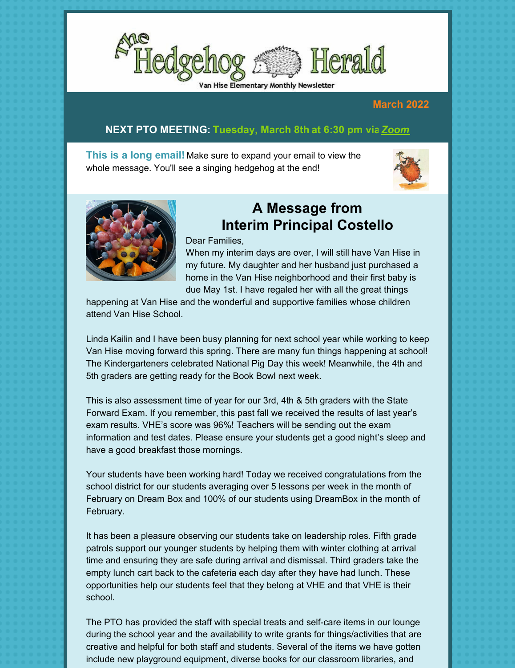

#### **March 2022**

#### **NEXT PTO MEETING: Tuesday, March 8th at 6:30 pm vi[a](https://us02web.zoom.us/j/89179812285?pwd=U3RSR1ZIeUdhSWZRaGtRLzVsMVUrQT09)***[Zoom](https://us02web.zoom.us/j/89179812285?pwd=U3RSR1ZIeUdhSWZRaGtRLzVsMVUrQ)*

**This is a long email!** Make sure to expand your email to view the whole message. You'll see a singing hedgehog at the end!





Dear Families,

When my interim days are over, I will still have Van Hise in my future. My daughter and her husband just purchased a home in the Van Hise neighborhood and their first baby is due May 1st. I have regaled her with all the great things

**A Message from**

**Interim Principal Costello**

happening at Van Hise and the wonderful and supportive families whose children attend Van Hise School.

Linda Kailin and I have been busy planning for next school year while working to keep Van Hise moving forward this spring. There are many fun things happening at school! The Kindergarteners celebrated National Pig Day this week! Meanwhile, the 4th and 5th graders are getting ready for the Book Bowl next week.

This is also assessment time of year for our 3rd, 4th & 5th graders with the State Forward Exam. If you remember, this past fall we received the results of last year's exam results. VHE's score was 96%! Teachers will be sending out the exam information and test dates. Please ensure your students get a good night's sleep and have a good breakfast those mornings.

Your students have been working hard! Today we received congratulations from the school district for our students averaging over 5 lessons per week in the month of February on Dream Box and 100% of our students using DreamBox in the month of February.

It has been a pleasure observing our students take on leadership roles. Fifth grade patrols support our younger students by helping them with winter clothing at arrival time and ensuring they are safe during arrival and dismissal. Third graders take the empty lunch cart back to the cafeteria each day after they have had lunch. These opportunities help our students feel that they belong at VHE and that VHE is their school.

The PTO has provided the staff with special treats and self-care items in our lounge during the school year and the availability to write grants for things/activities that are creative and helpful for both staff and students. Several of the items we have gotten include new playground equipment, diverse books for our classroom libraries, and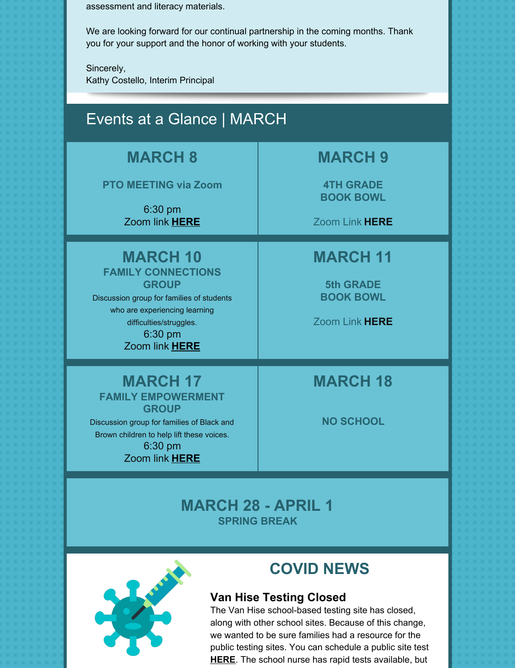assessment and literacy materials.

We are looking forward for our continual partnership in the coming months. Thank you for your support and the honor of working with your students.

Sincerely, Kathy Costello, Interim Principal

#### Events at a Glance | MARCH **MARCH 8 PTO MEETING via Zoom** 6:30 pm Zoom link **[HERE](https://us02web.zoom.us/j/89179812285?pwd=U3RSR1ZIeUdhSWZRaGtRLzVsMVUrQT09) MARCH 9 4TH GRADE BOOK BOWL** Zoom Link **[HERE](https://madison-k12-wi-us.zoom.us/j/8523291427) MARCH 10 FAMILY CONNECTIONS GROUP** Discussion group for families of students who are experiencing learning difficulties/struggles. 6:30 pm Zoom link **[HERE](https://www.google.com/url?q=https://madison-k12-wi-us.zoom.us/j/95431896266&sa=D&source=calendar&ust=1646602128636527&usg=AOvVaw3JdwZlkkg86AYHlTc1iHmm) MARCH 11 5th GRADE BOOK BOWL** Zoom Link **[HERE](https://madison-k12-wi-us.zoom.us/j/8523291427) MARCH 17 FAMILY EMPOWERMENT GROUP** Discussion group for families of Black and Brown children to help lift these voices. 6:30 pm Zoom link **[HERE](https://www.google.com/url?q=https://madison-k12-wi-us.zoom.us/j/95431896266&sa=D&source=calendar&ust=1646602128636527&usg=AOvVaw3JdwZlkkg86AYHlTc1iHmm) MARCH 18 NO SCHOOL**

**MARCH 28 - APRIL 1 SPRING BREAK**



# **COVID NEWS**

#### **Van Hise Testing Closed**

The Van Hise school-based testing site has closed, along with other school sites. Because of this change, we wanted to be sure families had a resource for the public testing sites. You can schedule a public site test **[HERE](https://publichealthmdc.com/coronavirus/testing)**. The school nurse has rapid tests available, but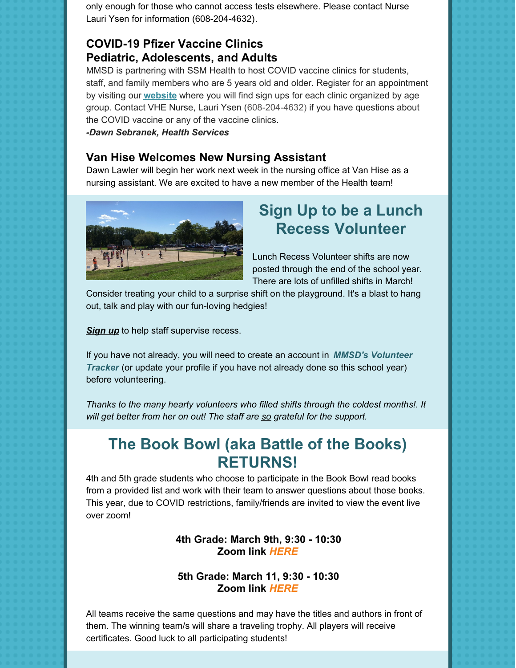only enough for those who cannot access tests elsewhere. Please contact Nurse Lauri Ysen for information (608-204-4632).

#### **COVID-19 Pfizer Vaccine Clinics Pediatric, Adolescents, and Adults**

MMSD is partnering with SSM Health to host COVID vaccine clinics for students, staff, and family members who are 5 years old and older. Register for an appointment by visiting our **[website](https://www.madison.k12.wi.us/student-staff-support/health-services/covid-health-and-safety-guidance/vaccine-clinics)** where you will find sign ups for each clinic organized by age group. Contact VHE Nurse, Lauri Ysen (608-204-4632) if you have questions about the COVID vaccine or any of the vaccine clinics.

*-Dawn Sebranek, Health Services*

#### **Van Hise Welcomes New Nursing Assistant**

Dawn Lawler will begin her work next week in the nursing office at Van Hise as a nursing assistant. We are excited to have a new member of the Health team!



# **Sign Up to be a Lunch Recess Volunteer**

Lunch Recess Volunteer shifts are now posted through the end of the school year. There are lots of unfilled shifts in March!

Consider treating your child to a surprise shift on the playground. It's a blast to hang out, talk and play with our fun-loving hedgies!

*[Sign](https://www.signupgenius.com/go/4090b4aafa92baaf49-lunch) up* to help staff supervise recess.

If you have not already, you will need to create an account in *MMSD's [Volunteer](https://appgarden6.app-garden.com/VolTrackWI3269.nsf) Tracker* (or update your profile if you have not already done so this school year) before volunteering.

*Thanks to the many hearty volunteers who filled shifts through the coldest months!. It will get better from her on out! The staff are so grateful for the support.*

### **The Book Bowl (aka Battle of the Books) RETURNS!**

4th and 5th grade students who choose to participate in the Book Bowl read books from a provided list and work with their team to answer questions about those books. This year, due to COVID restrictions, family/friends are invited to view the event live over zoom!

#### **4th Grade: March 9th, 9:30 - 10:30 Zoom link** *[HERE](https://madison-k12-wi-us.zoom.us/j/8523291427)*

#### **5th Grade: March 11, 9:30 - 10:30 Zoom link** *[HERE](https://madison-k12-wi-us.zoom.us/j/8523291427)*

All teams receive the same questions and may have the titles and authors in front of them. The winning team/s will share a traveling trophy. All players will receive certificates. Good luck to all participating students!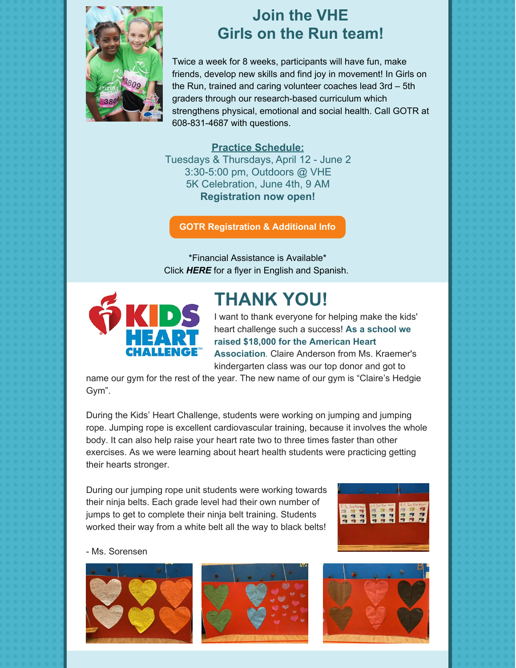

### **Join the VHE Girls on the Run team!**

Twice a week for 8 weeks, participants will have fun, make friends, develop new skills and find joy in movement! In Girls on the Run, trained and caring volunteer coaches lead 3rd – 5th graders through our research-based curriculum which strengthens physical, emotional and social health. Call GOTR at 608-831-4687 with questions.

#### **Practice Schedule:**

Tuesdays & Thursdays, April 12 - June 2 3:30-5:00 pm, Outdoors @ VHE 5K Celebration, June 4th, 9 AM **Registration now open!**

**GOTR [Registration](https://www.girlsontherunscwi.org/Program-Registration) & Additional Info**

\*Financial Assistance is Available\* Click *[HERE](https://files.constantcontact.com/a35ed802501/02a6bf90-0013-4abb-9422-4b5634dffc49.pdf)* for a flyer in English and Spanish.



# **THANK YOU!**

I want to thank everyone for helping make the kids' heart challenge such a success! **As a school we raised \$18,000 for the American Heart Association**. Claire Anderson from Ms. Kraemer's kindergarten class was our top donor and got to

name our gym for the rest of the year. The new name of our gym is "Claire's Hedgie Gym".

During the Kids' Heart Challenge, students were working on jumping and jumping rope. Jumping rope is excellent cardiovascular training, because it involves the whole body. It can also help raise your heart rate two to three times faster than other exercises. As we were learning about heart health students were practicing getting their hearts stronger.

During our jumping rope unit students were working towards their ninja belts. Each grade level had their own number of jumps to get to complete their ninja belt training. Students worked their way from a white belt all the way to black belts!



- Ms. Sorensen







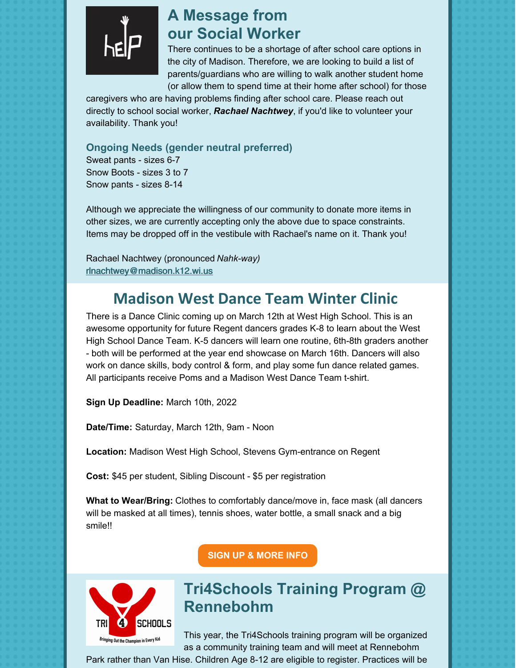

### **A Message from our Social Worker**

There continues to be a shortage of after school care options in the city of Madison. Therefore, we are looking to build a list of parents/guardians who are willing to walk another student home (or allow them to spend time at their home after school) for those

caregivers who are having problems finding after school care. Please reach out directly to school social worker, *Rachael [Nachtwey](mailto:rlnachtwey@madison.k12.wi.us)*, if you'd like to volunteer your availability. Thank you!

**Ongoing Needs (gender neutral preferred)** Sweat pants - sizes 6-7

Snow Boots - sizes 3 to 7 Snow pants - sizes 8-14

Although we appreciate the willingness of our community to donate more items in other sizes, we are currently accepting only the above due to space constraints. Items may be dropped off in the vestibule with Rachael's name on it. Thank you!

Rachael Nachtwey (pronounced *Nahk-way)* [rlnachtwey@madison.k12.wi.us](mailto:rlnachtwey@madison.k12.wi.us)

# **Madison West Dance Team Winter Clinic**

There is a Dance Clinic coming up on March 12th at West High School. This is an awesome opportunity for future Regent dancers grades K-8 to learn about the West High School Dance Team. K-5 dancers will learn one routine, 6th-8th graders another - both will be performed at the year end showcase on March 16th. Dancers will also work on dance skills, body control & form, and play some fun dance related games. All participants receive Poms and a Madison West Dance Team t-shirt.

**Sign Up Deadline:** March 10th, 2022

**Date/Time:** Saturday, March 12th, 9am - Noon

**Location:** Madison West High School, Stevens Gym-entrance on Regent

**Cost:** \$45 per student, Sibling Discount - \$5 per registration

**What to Wear/Bring:** Clothes to comfortably dance/move in, face mask (all dancers will be masked at all times), tennis shoes, water bottle, a small snack and a big smile!!

**SIGN UP & [MORE](https://docs.google.com/forms/d/e/1FAIpQLSezQdfHpWPolSEEzvozQtb7n9e60AmYNDupZ0VXScn6raZlzA/viewform?usp=pp_url) INFO**



# **Tri4Schools Training Program @ Rennebohm**

This year, the Tri4Schools training program will be organized as a community training team and will meet at Rennebohm

Park rather than Van Hise. Children Age 8-12 are eligible to register. Practices will be